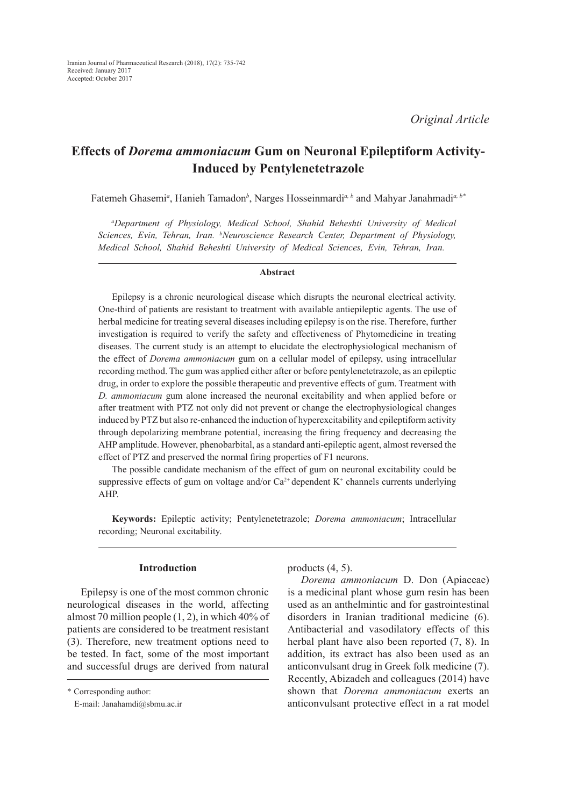# **Effects of** *Dorema ammoniacum* **Gum on Neuronal Epileptiform Activity-Induced by Pentylenetetrazole**

Fatemeh Ghasemi<sup>*a*</sup>, Hanieh Tamadon<sup>b</sup>, Narges Hosseinmardi<sup>*a, b*</sup> and Mahyar Janahmadi<sup>*a, b\**</sup>

*a Department of Physiology, Medical School, Shahid Beheshti University of Medical Sciences, Evin, Tehran, Iran. b Neuroscience Research Center, Department of Physiology, Medical School, Shahid Beheshti University of Medical Sciences, Evin, Tehran, Iran.*

#### **Abstract**

Epilepsy is a chronic neurological disease which disrupts the neuronal electrical activity. One-third of patients are resistant to treatment with available antiepileptic agents. The use of herbal medicine for treating several diseases including epilepsy is on the rise. Therefore, further investigation is required to verify the safety and effectiveness of Phytomedicine in treating diseases. The current study is an attempt to elucidate the electrophysiological mechanism of the effect of *Dorema ammoniacum* gum on a cellular model of epilepsy, using intracellular recording method. The gum was applied either after or before pentylenetetrazole, as an epileptic drug, in order to explore the possible therapeutic and preventive effects of gum. Treatment with *D. ammoniacum* gum alone increased the neuronal excitability and when applied before or after treatment with PTZ not only did not prevent or change the electrophysiological changes induced by PTZ but also re-enhanced the induction of hyperexcitability and epileptiform activity through depolarizing membrane potential, increasing the firing frequency and decreasing the AHP amplitude. However, phenobarbital, as a standard anti-epileptic agent, almost reversed the effect of PTZ and preserved the normal firing properties of F1 neurons.

The possible candidate mechanism of the effect of gum on neuronal excitability could be suppressive effects of gum on voltage and/or  $Ca<sup>2+</sup>$  dependent K<sup>+</sup> channels currents underlying AHP.

**Keywords:** Epileptic activity; Pentylenetetrazole; *Dorema ammoniacum*; Intracellular recording; Neuronal excitability.

## **Introduction**

Epilepsy is one of the most common chronic neurological diseases in the world, affecting almost 70 million people (1, 2), in which 40% of patients are considered to be treatment resistant (3). Therefore, new treatment options need to be tested. In fact, some of the most important and successful drugs are derived from natural products (4, 5).

*Dorema ammoniacum* D. Don (Apiaceae) is a medicinal plant whose gum resin has been used as an anthelmintic and for gastrointestinal disorders in Iranian traditional medicine (6). Antibacterial and vasodilatory effects of this herbal plant have also been reported (7, 8). In addition, its extract has also been used as an anticonvulsant drug in Greek folk medicine (7). Recently, Abizadeh and colleagues (2014) have shown that *Dorema ammoniacum* exerts an anticonvulsant protective effect in a rat model

<sup>\*</sup> Corresponding author:

E-mail: Janahamdi@sbmu.ac.ir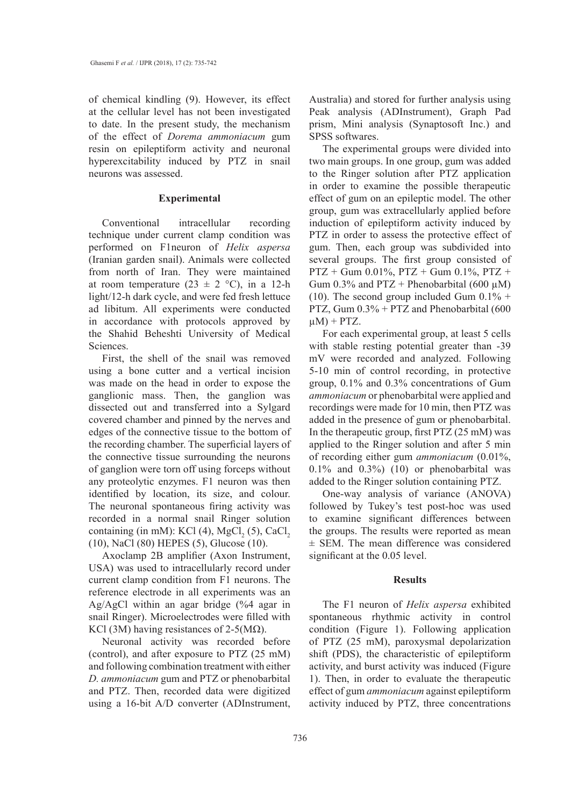of chemical kindling (9). However, its effect at the cellular level has not been investigated to date. In the present study, the mechanism of the effect of *Dorema ammoniacum* gum resin on epileptiform activity and neuronal hyperexcitability induced by PTZ in snail neurons was assessed.

#### **Experimental**

Conventional intracellular recording technique under current clamp condition was performed on F1neuron of *Helix aspersa* (Iranian garden snail). Animals were collected from north of Iran. They were maintained at room temperature (23  $\pm$  2 °C), in a 12-h light/12-h dark cycle, and were fed fresh lettuce ad libitum. All experiments were conducted in accordance with protocols approved by the Shahid Beheshti University of Medical Sciences.

First, the shell of the snail was removed using a bone cutter and a vertical incision was made on the head in order to expose the ganglionic mass. Then, the ganglion was dissected out and transferred into a Sylgard covered chamber and pinned by the nerves and edges of the connective tissue to the bottom of the recording chamber. The superficial layers of the connective tissue surrounding the neurons of ganglion were torn off using forceps without any proteolytic enzymes. F1 neuron was then identified by location, its size, and colour. The neuronal spontaneous firing activity was recorded in a normal snail Ringer solution containing (in mM): KCl (4),  $MgCl_2(5)$ , CaCl<sub>2</sub> (10), NaCl (80) HEPES (5), Glucose (10).

Axoclamp 2B amplifier (Axon Instrument, USA) was used to intracellularly record under current clamp condition from F1 neurons. The reference electrode in all experiments was an Ag/AgCl within an agar bridge (%4 agar in snail Ringer). Microelectrodes were filled with KCl (3M) having resistances of 2-5( $M\Omega$ ).

Neuronal activity was recorded before (control), and after exposure to PTZ (25 mM) and following combination treatment with either *D. ammoniacum* gum and PTZ or phenobarbital and PTZ. Then, recorded data were digitized using a 16-bit A/D converter (ADInstrument,

Australia) and stored for further analysis using Peak analysis (ADInstrument), Graph Pad prism, Mini analysis (Synaptosoft Inc.) and SPSS softwares.

The experimental groups were divided into two main groups. In one group, gum was added to the Ringer solution after PTZ application in order to examine the possible therapeutic effect of gum on an epileptic model. The other group, gum was extracellularly applied before induction of epileptiform activity induced by PTZ in order to assess the protective effect of gum. Then, each group was subdivided into several groups. The first group consisted of  $PTZ + Gum$  0.01%,  $PTZ + Gum$  0.1%,  $PTZ +$ Gum  $0.3\%$  and PTZ + Phenobarbital (600  $\mu$ M) (10). The second group included Gum  $0.1\%$  + PTZ, Gum 0.3% + PTZ and Phenobarbital (600  $\mu$ M) + PTZ.

For each experimental group, at least 5 cells with stable resting potential greater than -39 mV were recorded and analyzed. Following 5-10 min of control recording, in protective group, 0.1% and 0.3% concentrations of Gum *ammoniacum* or phenobarbital were applied and recordings were made for 10 min, then PTZ was added in the presence of gum or phenobarbital. In the therapeutic group, first PTZ (25 mM) was applied to the Ringer solution and after 5 min of recording either gum *ammoniacum* (0.01%,  $0.1\%$  and  $0.3\%$ ) (10) or phenobarbital was added to the Ringer solution containing PTZ.

One-way analysis of variance (ANOVA) followed by Tukey's test post-hoc was used to examine significant differences between the groups. The results were reported as mean ± SEM. The mean difference was considered significant at the 0.05 level.

#### **Results**

The F1 neuron of *Helix aspersa* exhibited spontaneous rhythmic activity in control condition (Figure 1). Following application of PTZ (25 mM), paroxysmal depolarization shift (PDS), the characteristic of epileptiform activity, and burst activity was induced (Figure 1). Then, in order to evaluate the therapeutic effect of gum *ammoniacum* against epileptiform activity induced by PTZ, three concentrations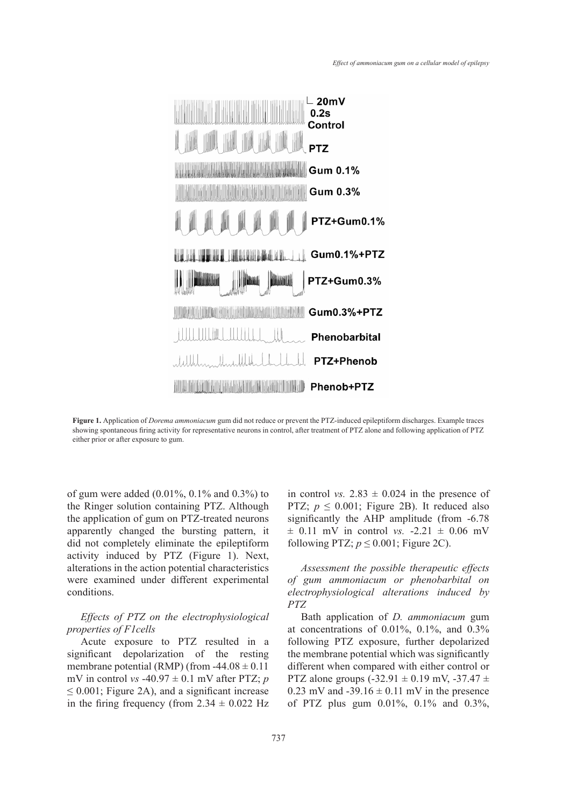

**Figure 1.** Application of *Dorema ammoniacum* gum did not reduce or prevent **Figure 1.** Application of *Dorema ammoniacum* gum did not reduce or prevent the PTZ-induced epileptiform discharges. Example traces showing spontaneous firing activity for representative neurons in control, after treatment of PTZ alone and following application of PTZ either prior or after exposure to gum.

of gum were added (0.01%, 0.1% and 0.3%) to the Ringer solution containing PTZ. Although the application of gum on PTZ-treated neurons apparently changed the bursting pattern, it did not completely eliminate the epileptiform activity induced by PTZ (Figure 1). Next, alterations in the action potential characteristics were examined under different experimental conditions.

### *Effects of PTZ on the electrophysiological properties of F1cells*

Acute exposure to PTZ resulted in a significant depolarization of the resting membrane potential (RMP) (from  $-44.08 \pm 0.11$ mV in control *vs* -40.97  $\pm$  0.1 mV after PTZ; *p*  $\leq$  0.001; Figure 2A), and a significant increase in the firing frequency (from  $2.34 \pm 0.022$  Hz

 $10\%, 0.1\%$  and  $0.3\%$ ) to in control *vs.*  $2.83 \pm 0.024$  in the presence of PTZ;  $p \le 0.001$ ; Figure 2B). It reduced also significantly the AHP amplitude (from -6.78  $\pm$  0.11 mV in control *vs.* -2.21  $\pm$  0.06 mV following PTZ;  $p \le 0.001$ ; Figure 2C).

> *Assessment the possible therapeutic effects of gum ammoniacum or phenobarbital on electrophysiological alterations induced by PTZ*

> Bath application of *D. ammoniacum* gum at concentrations of  $0.01\%$ ,  $0.1\%$ , and  $0.3\%$ following PTZ exposure, further depolarized the membrane potential which was significantly different when compared with either control or PTZ alone groups  $(-32.91 \pm 0.19 \text{ mV}, -37.47 \pm 1.00 \text{ mV})$ 0.23 mV and  $-39.16 \pm 0.11$  mV in the presence of PTZ plus gum 0.01%, 0.1% and 0.3%,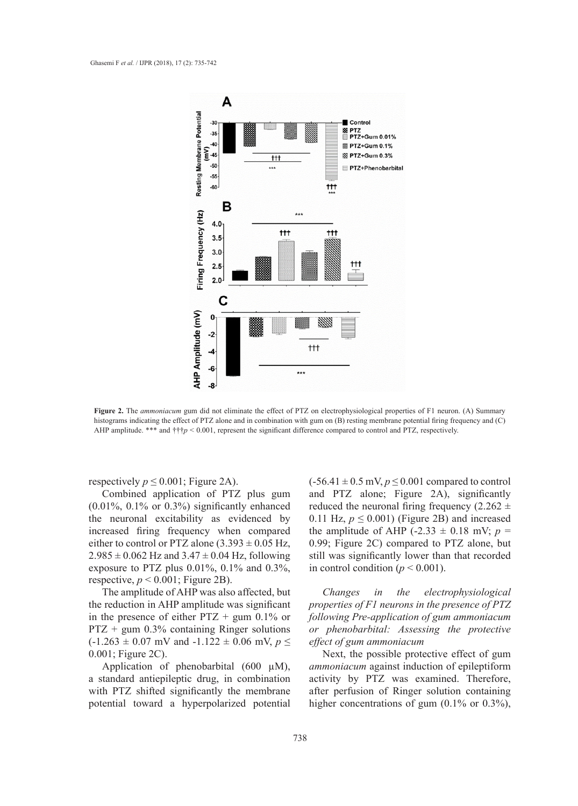

**Figure 2.** The *ammoniacum* gum did not eliminate the effect of PTZ on electrophysiological properties of F1 neuron. (A) Summary histograms indicating the effect of PTZ alone and in combination with gum on (B) resting membrane potential firing frequency and (C) AHP amplitude. \*\*\* and †††*p* < 0.001, represent the significant difference compared to control and PTZ, respectively.

respectively  $p \leq 0.001$ ; Figure 2A).

Combined application of PTZ plus gum  $(0.01\%, 0.1\% \text{ or } 0.3\%)$  significantly enhanced the neuronal excitability as evidenced by increased firing frequency when compared either to control or PTZ alone  $(3.393 \pm 0.05 \text{ Hz})$ ,  $2.985 \pm 0.062$  Hz and  $3.47 \pm 0.04$  Hz, following exposure to PTZ plus 0.01%, 0.1% and 0.3%, respective,  $p < 0.001$ ; Figure 2B).

The amplitude of AHP was also affected, but the reduction in AHP amplitude was significant in the presence of either  $PTZ + gum$  0.1% or PTZ + gum 0.3% containing Ringer solutions  $(-1.263 \pm 0.07 \text{ mV} \text{ and } -1.122 \pm 0.06 \text{ mV}, p \leq$ 0.001; Figure 2C).

Application of phenobarbital (600  $\mu$ M), a standard antiepileptic drug, in combination with PTZ shifted significantly the membrane potential toward a hyperpolarized potential

Figure 2A).  $(-56.41 \pm 0.5 \text{ mV}, p \le 0.001 \text{ compared to control})$ and PTZ alone; Figure 2A), significantly 6) significantly enhanced reduced the neuronal firing frequency  $(2.262 \pm$ 0.11 Hz,  $p \le 0.001$ ) (Figure 2B) and increased uency when compared the amplitude of AHP  $(-2.33 \pm 0.18 \text{ mV}; p =$ <br> **Z** alone  $(3.393 \pm 0.05 \text{ Hz})$  and  $(0.90 \cdot \text{Eigure } 2C)$  compared to PTZ alone but 0.99; Figure 2C) compared to PTZ alone, but still was significantly lower than that recorded in control condition ( $p < 0.001$ ).

> *Changes in the electrophysiological properties of F1 neurons in the presence of PTZ following Pre-application of gum ammoniacum or phenobarbital: Assessing the protective effect of gum ammoniacum*

> Next, the possible protective effect of gum *ammoniacum* against induction of epileptiform activity by PTZ was examined. Therefore, after perfusion of Ringer solution containing higher concentrations of gum  $(0.1\% \text{ or } 0.3\%),$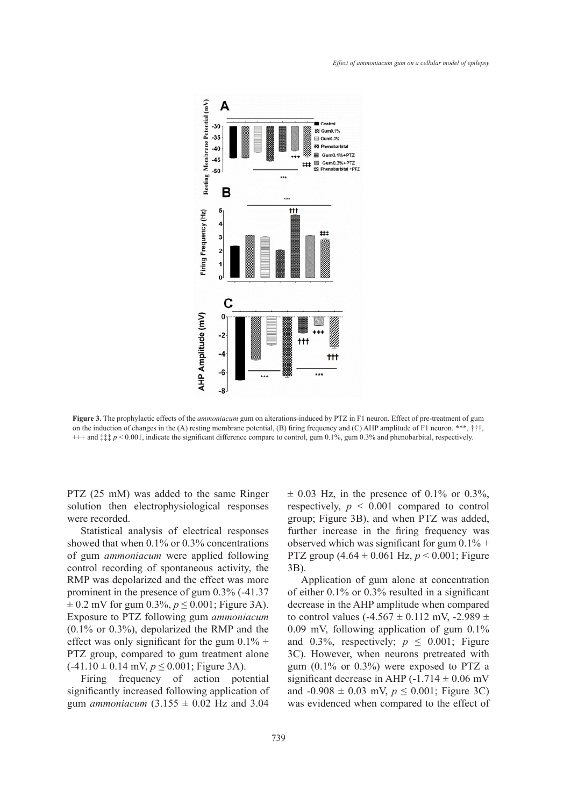

**Figure 3.** The prophylactic effects of the *ammoniacum* gum on alterations-induced by PTZ in F1 neuron. Effect of pre-treatment of gum on the induction of changes in the (A) resting membrane potential, (B) firing frequency and (C) AHP amplitude of F1 neuron. \*\*\*, †††,  $\frac{1}{2}$  and  $\frac{1}{2}$  and  $\frac{1}{2}$  and  $\frac{1}{2}$  and  $\frac{1}{2}$  and  $\frac{1}{2}$  and  $\frac$ +++ and ‡‡‡ *p* < 0.001, indicate the significant difference compare to control, gum 0.1%, gum 0.3% and phenobarbital, respectively.

PTZ (25 mM) was added to the same Ringer solution then electrophysiological responses were recorded.

Statistical analysis of electrical responses showed that when 0.1% or 0.3% concentrations of gum *ammoniacum* were applied following control recording of spontaneous activity, the  $\frac{3B}{2B}$ . RMP was depolarized and the effect was more prominent in the presence of gum 0.3% (-41.37  $\pm$  0.2 mV for gum 0.3%,  $p \le 0.001$ ; Figure 3A). Exposure to PTZ following gum *ammoniacum* (0.1% or 0.3%), depolarized the RMP and the effect was only significant for the gum  $0.1\%$  + PTZ group, compared to gum treatment alone  $(-41.10 \pm 0.14 \text{ mV}, p \le 0.001$ ; Figure 3A).

Firing frequency of action potential significantly increased following application of gum *ammoniacum*  $(3.155 \pm 0.02)$  Hz and 3.04

o the same Ringer  $\pm 0.03$  Hz, in the presence of 0.1% or 0.3%, respectively,  $p < 0.001$  compared to control  $\frac{1}{2}$  responses the respectively,  $p \le 0.001$  compared to control group; Figure 3B), and when PTZ was added, further increase in the firing frequency was .3% concentrations observed which was significant for gum  $0.1\%$  + PTZ group (4.64 ± 0.061 Hz, *p* < 0.001; Figure 3B).

Application of gum alone at concentration of either 0.1% or 0.3% resulted in a significant decrease in the AHP amplitude when compared to control values (-4.567  $\pm$  0.112 mV, -2.989  $\pm$ 0.09 mV, following application of gum 0.1% or the gum  $0.1\%$  + and  $0.3\%$ , respectively;  $p \le 0.001$ ; Figure entreated with integrated as a standard as  $3C$ . However, when neurons pretreated with 3C). However, when neurons pretreated with gum (0.1% or 0.3%) were exposed to PTZ a significant decrease in AHP  $(-1.714 \pm 0.06 \text{ mV})$  action potential significant decrease in AHP  $(-1.714 \pm 0.06 \text{ mV})$ and  $-0.908 \pm 0.03$  mV,  $p \le 0.001$ ; Figure 3C)  $0.02$  Hz and  $3.04$  was evidenced when compared to the effect of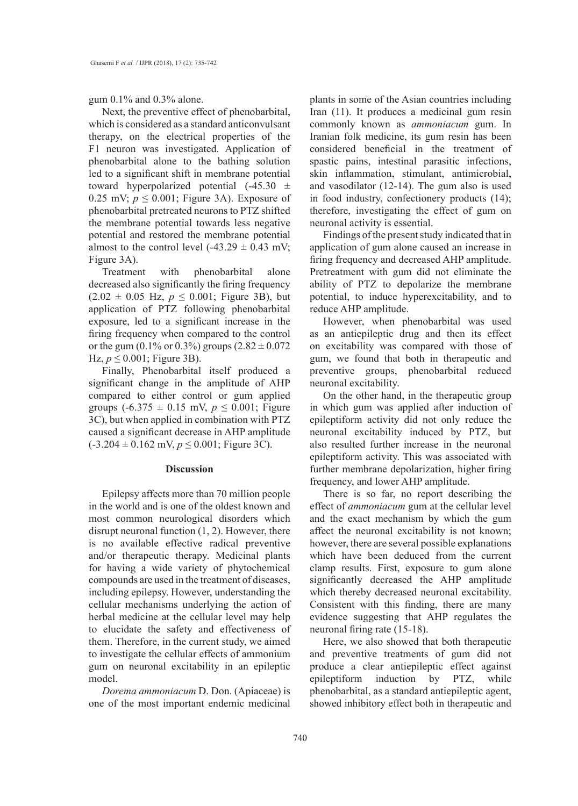gum 0.1% and 0.3% alone.

Next, the preventive effect of phenobarbital, which is considered as a standard anticonvulsant therapy, on the electrical properties of the F1 neuron was investigated. Application of phenobarbital alone to the bathing solution led to a significant shift in membrane potential toward hyperpolarized potential  $(-45.30 \pm$ 0.25 mV;  $p \le 0.001$ ; Figure 3A). Exposure of phenobarbital pretreated neurons to PTZ shifted the membrane potential towards less negative potential and restored the membrane potential almost to the control level  $(-43.29 \pm 0.43 \text{ mV})$ ; Figure 3A).

Treatment with phenobarbital alone decreased also significantly the firing frequency  $(2.02 \pm 0.05 \text{ Hz}, p \leq 0.001; \text{ Figure 3B}), \text{ but}$ application of PTZ following phenobarbital exposure, led to a significant increase in the firing frequency when compared to the control or the gum  $(0.1\% \text{ or } 0.3\%)$  groups  $(2.82 \pm 0.072)$ Hz,  $p$  ≤ 0.001; Figure 3B).

Finally, Phenobarbital itself produced a significant change in the amplitude of AHP compared to either control or gum applied groups  $(-6.375 \pm 0.15 \text{ mV}, p \le 0.001$ ; Figure 3C), but when applied in combination with PTZ caused a significant decrease in AHP amplitude  $(-3.204 \pm 0.162 \text{ mV}, p \le 0.001$ ; Figure 3C).

#### **Discussion**

Epilepsy affects more than 70 million people in the world and is one of the oldest known and most common neurological disorders which disrupt neuronal function (1, 2). However, there is no available effective radical preventive and/or therapeutic therapy. Medicinal plants for having a wide variety of phytochemical compounds are used in the treatment of diseases, including epilepsy. However, understanding the cellular mechanisms underlying the action of herbal medicine at the cellular level may help to elucidate the safety and effectiveness of them. Therefore, in the current study, we aimed to investigate the cellular effects of ammonium gum on neuronal excitability in an epileptic model.

*Dorema ammoniacum* D. Don. (Apiaceae) is one of the most important endemic medicinal plants in some of the Asian countries including Iran (11). It produces a medicinal gum resin commonly known as *ammoniacum* gum. In Iranian folk medicine, its gum resin has been considered beneficial in the treatment of spastic pains, intestinal parasitic infections, skin inflammation, stimulant, antimicrobial, and vasodilator (12-14). The gum also is used in food industry, confectionery products (14); therefore, investigating the effect of gum on neuronal activity is essential.

Findings of the present study indicated that in application of gum alone caused an increase in firing frequency and decreased AHP amplitude. Pretreatment with gum did not eliminate the ability of PTZ to depolarize the membrane potential, to induce hyperexcitability, and to reduce AHP amplitude.

However, when phenobarbital was used as an antiepileptic drug and then its effect on excitability was compared with those of gum, we found that both in therapeutic and preventive groups, phenobarbital reduced neuronal excitability.

On the other hand, in the therapeutic group in which gum was applied after induction of epileptiform activity did not only reduce the neuronal excitability induced by PTZ, but also resulted further increase in the neuronal epileptiform activity. This was associated with further membrane depolarization, higher firing frequency, and lower AHP amplitude.

There is so far, no report describing the effect of *ammoniacum* gum at the cellular level and the exact mechanism by which the gum affect the neuronal excitability is not known; however, there are several possible explanations which have been deduced from the current clamp results. First, exposure to gum alone significantly decreased the AHP amplitude which thereby decreased neuronal excitability. Consistent with this finding, there are many evidence suggesting that AHP regulates the neuronal firing rate (15-18).

Here, we also showed that both therapeutic and preventive treatments of gum did not produce a clear antiepileptic effect against epileptiform induction by PTZ, while phenobarbital, as a standard antiepileptic agent, showed inhibitory effect both in therapeutic and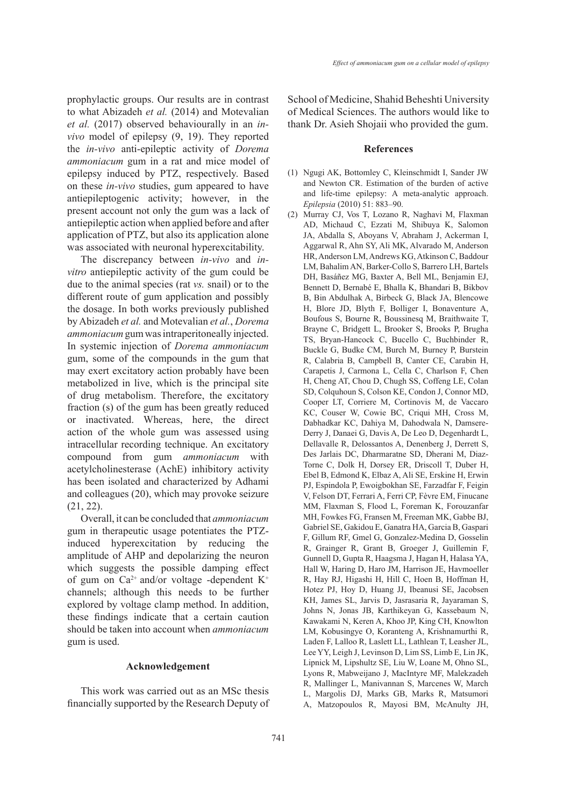prophylactic groups. Our results are in contrast to what Abizadeh *et al.* (2014) and Motevalian *et al.* (2017) observed behaviourally in an *invivo* model of epilepsy (9, 19). They reported the *in-vivo* anti-epileptic activity of *Dorema ammoniacum* gum in a rat and mice model of epilepsy induced by PTZ, respectively. Based on these *in-vivo* studies, gum appeared to have antiepileptogenic activity; however, in the present account not only the gum was a lack of antiepileptic action when applied before and after application of PTZ, but also its application alone was associated with neuronal hyperexcitability.

The discrepancy between *in-vivo* and *invitro* antiepileptic activity of the gum could be due to the animal species (rat *vs.* snail) or to the different route of gum application and possibly the dosage. In both works previously published by Abizadeh *et al.* and Motevalian *et al.*, *Dorema ammoniacum* gum was intraperitoneally injected. In systemic injection of *Dorema ammoniacum*  gum, some of the compounds in the gum that may exert excitatory action probably have been metabolized in live, which is the principal site of drug metabolism. Therefore, the excitatory fraction (s) of the gum has been greatly reduced or inactivated. Whereas, here, the direct action of the whole gum was assessed using intracellular recording technique. An excitatory compound from gum *ammoniacum* with acetylcholinesterase (AchE) inhibitory activity has been isolated and characterized by Adhami and colleagues (20), which may provoke seizure (21, 22).

Overall, it can be concluded that *ammoniacum* gum in therapeutic usage potentiates the PTZinduced hyperexcitation by reducing the amplitude of AHP and depolarizing the neuron which suggests the possible damping effect of gum on  $Ca^{2+}$  and/or voltage -dependent  $K^+$ channels; although this needs to be further explored by voltage clamp method. In addition, these findings indicate that a certain caution should be taken into account when *ammoniacum* gum is used.

#### **Acknowledgement**

This work was carried out as an MSc thesis financially supported by the Research Deputy of School of Medicine, Shahid Beheshti University of Medical Sciences. The authors would like to thank Dr. Asieh Shojaii who provided the gum.

#### **References**

- (1) Ngugi AK, Bottomley C, Kleinschmidt I, Sander JW and Newton CR. Estimation of the burden of active and life-time epilepsy: A meta-analytic approach. *Epilepsia* (2010) 51: 883–90.
- Murray CJ, Vos T, Lozano R, Naghavi M, Flaxman (2)AD, Michaud C, Ezzati M, Shibuya K, Salomon JA, Abdalla S, Aboyans V, Abraham J, Ackerman I, Aggarwal R, Ahn SY, Ali MK, Alvarado M, Anderson HR, Anderson LM, Andrews KG, Atkinson C, Baddour LM, Bahalim AN, Barker-Collo S, Barrero LH, Bartels DH, Basáñez MG, Baxter A, Bell ML, Benjamin EJ, Bennett D, Bernabé E, Bhalla K, Bhandari B, Bikbov B, Bin Abdulhak A, Birbeck G, Black JA, Blencowe H, Blore JD, Blyth F, Bolliger I, Bonaventure A, Boufous S, Bourne R, Boussinesq M, Braithwaite T, Brayne C, Bridgett L, Brooker S, Brooks P, Brugha TS, Bryan-Hancock C, Bucello C, Buchbinder R, Buckle G, Budke CM, Burch M, Burney P, Burstein R, Calabria B, Campbell B, Canter CE, Carabin H, Carapetis J, Carmona L, Cella C, Charlson F, Chen H, Cheng AT, Chou D, Chugh SS, Coffeng LE, Colan SD, Colquhoun S, Colson KE, Condon J, Connor MD, Cooper LT, Corriere M, Cortinovis M, de Vaccaro KC, Couser W, Cowie BC, Criqui MH, Cross M, Dabhadkar KC, Dahiya M, Dahodwala N, Damsere-Derry J, Danaei G, Davis A, De Leo D, Degenhardt L, Dellavalle R, Delossantos A, Denenberg J, Derrett S, Des Jarlais DC, Dharmaratne SD, Dherani M, Diaz-Torne C, Dolk H, Dorsey ER, Driscoll T, Duber H, Ebel B, Edmond K, Elbaz A, Ali SE, Erskine H, Erwin PJ, Espindola P, Ewoigbokhan SE, Farzadfar F, Feigin V, Felson DT, Ferrari A, Ferri CP, Fèvre EM, Finucane MM, Flaxman S, Flood L, Foreman K, Forouzanfar MH, Fowkes FG, Fransen M, Freeman MK, Gabbe BJ, Gabriel SE, Gakidou E, Ganatra HA, Garcia B, Gaspari F, Gillum RF, Gmel G, Gonzalez-Medina D, Gosselin R, Grainger R, Grant B, Groeger J, Guillemin F, Gunnell D, Gupta R, Haagsma J, Hagan H, Halasa YA, Hall W, Haring D, Haro JM, Harrison JE, Havmoeller R, Hay RJ, Higashi H, Hill C, Hoen B, Hoffman H, Hotez PJ, Hoy D, Huang JJ, Ibeanusi SE, Jacobsen KH, James SL, Jarvis D, Jasrasaria R, Jayaraman S, Johns N, Jonas JB, Karthikeyan G, Kassebaum N, Kawakami N, Keren A, Khoo JP, King CH, Knowlton LM, Kobusingye O, Koranteng A, Krishnamurthi R, Laden F, Lalloo R, Laslett LL, Lathlean T, Leasher JL, Lee YY, Leigh J, Levinson D, Lim SS, Limb E, Lin JK, Lipnick M, Lipshultz SE, Liu W, Loane M, Ohno SL, Lyons R, Mabweijano J, MacIntyre MF, Malekzadeh R, Mallinger L, Manivannan S, Marcenes W, March L, Margolis DJ, Marks GB, Marks R, Matsumori A, Matzopoulos R, Mayosi BM, McAnulty JH,